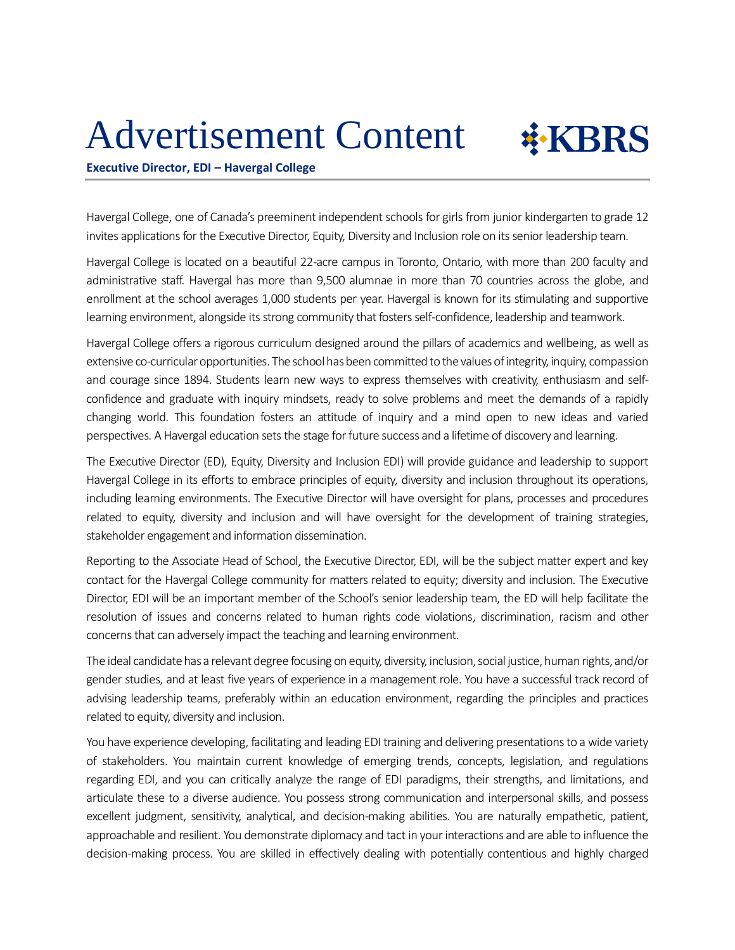## Advertisement Content



**Executive Director, EDI – Havergal College**

Havergal College, one of Canada's preeminent independent schools for girls from junior kindergarten to grade 12 invites applications for the Executive Director, Equity, Diversity and Inclusion role on its senior leadership team.

Havergal College is located on a beautiful 22-acre campus in Toronto, Ontario, with more than 200 faculty and administrative staff. Havergal has more than 9,500 alumnae in more than 70 countries across the globe, and enrollment at the school averages 1,000 students per year. Havergal is known for its stimulating and supportive learning environment, alongside its strong community that fosters self-confidence, leadership and teamwork.

Havergal College offers a rigorous curriculum designed around the pillars of academics and wellbeing, as well as extensive co-curricular opportunities. The school has been committed to the values of integrity, inquiry, compassion and courage since 1894. Students learn new ways to express themselves with creativity, enthusiasm and selfconfidence and graduate with inquiry mindsets, ready to solve problems and meet the demands of a rapidly changing world. This foundation fosters an attitude of inquiry and a mind open to new ideas and varied perspectives. A Havergal education sets the stage for future success and a lifetime of discovery and learning.

The Executive Director (ED), Equity, Diversity and Inclusion EDI) will provide guidance and leadership to support Havergal College in its efforts to embrace principles of equity, diversity and inclusion throughout its operations, including learning environments. The Executive Director will have oversight for plans, processes and procedures related to equity, diversity and inclusion and will have oversight for the development of training strategies, stakeholder engagement and information dissemination.

Reporting to the Associate Head of School, the Executive Director, EDI, will be the subject matter expert and key contact for the Havergal College community for matters related to equity; diversity and inclusion. The Executive Director, EDI will be an important member of the School's senior leadership team, the ED will help facilitate the resolution of issues and concerns related to human rights code violations, discrimination, racism and other concerns that can adversely impact the teaching and learning environment.

The ideal candidate has a relevant degree focusing on equity, diversity, inclusion, social justice, human rights, and/or gender studies, and at least five years of experience in a management role. You have a successful track record of advising leadership teams, preferably within an education environment, regarding the principles and practices related to equity, diversity and inclusion.

You have experience developing, facilitating and leading EDI training and delivering presentations to a wide variety of stakeholders. You maintain current knowledge of emerging trends, concepts, legislation, and regulations regarding EDI, and you can critically analyze the range of EDI paradigms, their strengths, and limitations, and articulate these to a diverse audience. You possess strong communication and interpersonal skills, and possess excellent judgment, sensitivity, analytical, and decision-making abilities. You are naturally empathetic, patient, approachable and resilient. You demonstrate diplomacy and tact in your interactions and are able to influence the decision-making process. You are skilled in effectively dealing with potentially contentious and highly charged